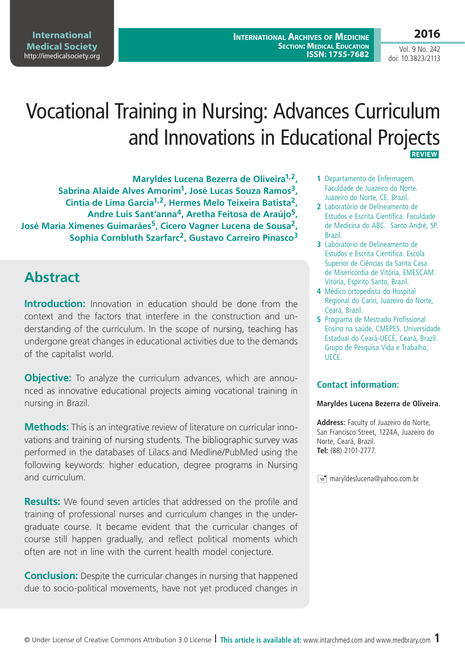**International Archives of Medicine SECTION: MEDICAL EDUCATION ISSN: 1755-7682** **2016**

Vol. 9 No. 242 doi: 10.3823/2113

# Vocational Training in Nursing: Advances Curriculum and Innovations in Educational Projects  **REVIEW**

**Maryldes Lucena Bezerra de Oliveira1,2, Sabrina Alaide Alves Amorim1, José Lucas Souza Ramos3, Cintia de Lima Garcia1,2, Hermes Melo Teixeira Batista2, Andre Luis Sant'anna4, Aretha Feitosa de Araújo5, José Maria Ximenes Guimarães5, Cicero Vagner Lucena de Sousa2, Sophia Cornbluth Szarfarc2, Gustavo Carreiro Pinasco3**

## **Abstract**

**Introduction:** Innovation in education should be done from the context and the factors that interfere in the construction and understanding of the curriculum. In the scope of nursing, teaching has undergone great changes in educational activities due to the demands of the capitalist world.

**Objective:** To analyze the curriculum advances, which are announced as innovative educational projects aiming vocational training in nursing in Brazil.

**Methods:** This is an integrative review of literature on curricular innovations and training of nursing students. The bibliographic survey was performed in the databases of Lilacs and Medline/PubMed using the following keywords: higher education, degree programs in Nursing and curriculum.

**Results:** We found seven articles that addressed on the profile and training of professional nurses and curriculum changes in the undergraduate course. It became evident that the curricular changes of course still happen gradually, and reflect political moments which often are not in line with the current health model conjecture.

**Conclusion:** Despite the curricular changes in nursing that happened due to socio-political movements, have not yet produced changes in

- **1** Departamento de Enfermagem. Faculdade de Juazeiro do Norte. Juazeiro do Norte, CE. Brazil.
- **2** Laboratório de Delineamento de Estudos e Escrita Científica. Faculdade de Medicina do ABC. Santo André, SP. Brazil.
- **3** Laboratório de Delineamento de Estudos e Escrita Científica. Escola Superior de Ciências da Santa Casa de Misericórdia de Vitória, EMESCAM. Vitória, Espirito Santo, Brazil.
- **4** Médico ortopedista do Hospital Regional do Cariri, Juazeiro do Norte, Ceará, Brazil.
- **5** Programa de Mestrado Profissional Ensino na saúde, CMEPES. Universidade Estadual do Ceará-UECE, Ceará, Brazil. Grupo de Pesquisa Vida e Trabalho, UECE.

#### **Contact information:**

#### **Maryldes Lucena Bezerra de Oliveira.**

**Address:** Faculty of Juazeiro do Norte, San Francisco Street, 1224A, Juazeiro do Norte, Ceará, Brazil. **Tel:** (88) 2101-2777.

 $\equiv$  maryldeslucena@yahoo.com.br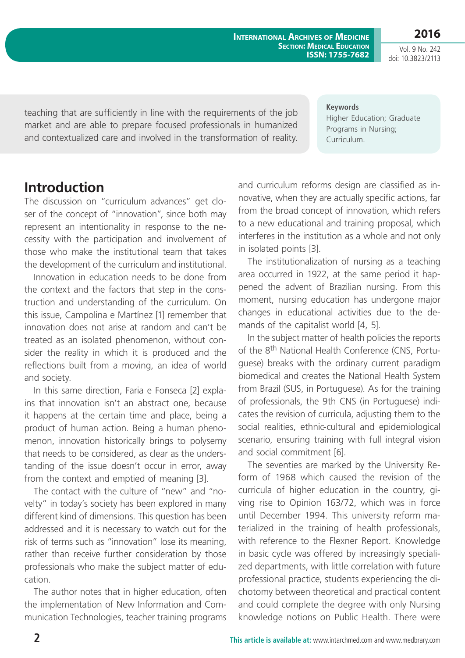**International Archives of Medicine SECTION: MEDICAL EDUCATION ISSN: 1755-7682**

Vol. 9 No. 242 doi: 10.3823/2113

**2016**

teaching that are sufficiently in line with the requirements of the job market and are able to prepare focused professionals in humanized and contextualized care and involved in the transformation of reality.

**Keywords** Higher Education; Graduate Programs in Nursing; Curriculum.

### **Introduction**

The discussion on "curriculum advances" get closer of the concept of "innovation", since both may represent an intentionality in response to the necessity with the participation and involvement of those who make the institutional team that takes the development of the curriculum and institutional.

Innovation in education needs to be done from the context and the factors that step in the construction and understanding of the curriculum. On this issue, Campolina e Martínez [1] remember that innovation does not arise at random and can't be treated as an isolated phenomenon, without consider the reality in which it is produced and the reflections built from a moving, an idea of world and society.

In this same direction, Faria e Fonseca [2] explains that innovation isn't an abstract one, because it happens at the certain time and place, being a product of human action. Being a human phenomenon, innovation historically brings to polysemy that needs to be considered, as clear as the understanding of the issue doesn't occur in error, away from the context and emptied of meaning [3].

The contact with the culture of "new" and "novelty" in today's society has been explored in many different kind of dimensions. This question has been addressed and it is necessary to watch out for the risk of terms such as "innovation" lose its meaning, rather than receive further consideration by those professionals who make the subject matter of education.

The author notes that in higher education, often the implementation of New Information and Communication Technologies, teacher training programs and curriculum reforms design are classified as innovative, when they are actually specific actions, far from the broad concept of innovation, which refers to a new educational and training proposal, which interferes in the institution as a whole and not only in isolated points [3].

The institutionalization of nursing as a teaching area occurred in 1922, at the same period it happened the advent of Brazilian nursing. From this moment, nursing education has undergone major changes in educational activities due to the demands of the capitalist world [4, 5].

In the subject matter of health policies the reports of the 8<sup>th</sup> National Health Conference (CNS, Portuguese) breaks with the ordinary current paradigm biomedical and creates the National Health System from Brazil (SUS, in Portuguese). As for the training of professionals, the 9th CNS (in Portuguese) indicates the revision of curricula, adjusting them to the social realities, ethnic-cultural and epidemiological scenario, ensuring training with full integral vision and social commitment [6].

The seventies are marked by the University Reform of 1968 which caused the revision of the curricula of higher education in the country, giving rise to Opinion 163/72, which was in force until December 1994. This university reform materialized in the training of health professionals, with reference to the Flexner Report. Knowledge in basic cycle was offered by increasingly specialized departments, with little correlation with future professional practice, students experiencing the dichotomy between theoretical and practical content and could complete the degree with only Nursing knowledge notions on Public Health. There were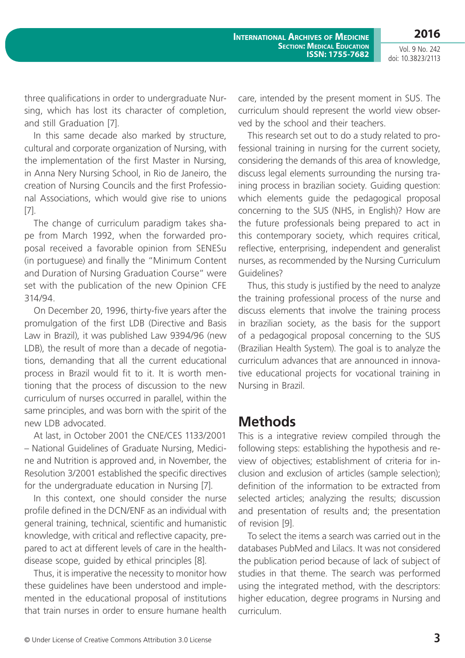Vol. 9 No. 242 doi: 10.3823/2113

three qualifications in order to undergraduate Nursing, which has lost its character of completion, and still Graduation [7].

In this same decade also marked by structure, cultural and corporate organization of Nursing, with the implementation of the first Master in Nursing, in Anna Nery Nursing School, in Rio de Janeiro, the creation of Nursing Councils and the first Professional Associations, which would give rise to unions [7].

The change of curriculum paradigm takes shape from March 1992, when the forwarded proposal received a favorable opinion from SENESu (in portuguese) and finally the "Minimum Content and Duration of Nursing Graduation Course" were set with the publication of the new Opinion CFE 314/94.

On December 20, 1996, thirty-five years after the promulgation of the first LDB (Directive and Basis Law in Brazil), it was published Law 9394/96 (new LDB), the result of more than a decade of negotiations, demanding that all the current educational process in Brazil would fit to it. It is worth mentioning that the process of discussion to the new curriculum of nurses occurred in parallel, within the same principles, and was born with the spirit of the new LDB advocated.

At last, in October 2001 the CNE/CES 1133/2001 – National Guidelines of Graduate Nursing, Medicine and Nutrition is approved and, in November, the Resolution 3/2001 established the specific directives for the undergraduate education in Nursing [7].

In this context, one should consider the nurse profile defined in the DCN/ENF as an individual with general training, technical, scientific and humanistic knowledge, with critical and reflective capacity, prepared to act at different levels of care in the healthdisease scope, guided by ethical principles [8].

Thus, it is imperative the necessity to monitor how these guidelines have been understood and implemented in the educational proposal of institutions that train nurses in order to ensure humane health care, intended by the present moment in SUS. The curriculum should represent the world view observed by the school and their teachers.

This research set out to do a study related to professional training in nursing for the current society, considering the demands of this area of knowledge, discuss legal elements surrounding the nursing training process in brazilian society. Guiding question: which elements guide the pedagogical proposal concerning to the SUS (NHS, in English)? How are the future professionals being prepared to act in this contemporary society, which requires critical, reflective, enterprising, independent and generalist nurses, as recommended by the Nursing Curriculum Guidelines?

Thus, this study is justified by the need to analyze the training professional process of the nurse and discuss elements that involve the training process in brazilian society, as the basis for the support of a pedagogical proposal concerning to the SUS (Brazilian Health System). The goal is to analyze the curriculum advances that are announced in innovative educational projects for vocational training in Nursing in Brazil.

## **Methods**

This is a integrative review compiled through the following steps: establishing the hypothesis and review of objectives; establishment of criteria for inclusion and exclusion of articles (sample selection); definition of the information to be extracted from selected articles; analyzing the results; discussion and presentation of results and; the presentation of revision [9].

To select the items a search was carried out in the databases PubMed and Lilacs. It was not considered the publication period because of lack of subject of studies in that theme. The search was performed using the integrated method, with the descriptors: higher education, degree programs in Nursing and curriculum.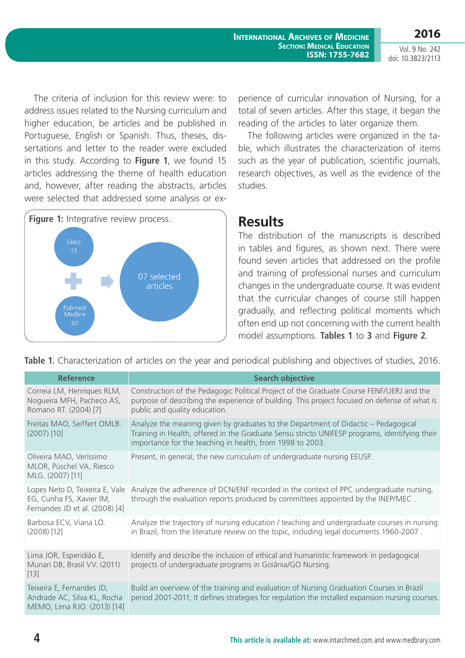**2016** Vol. 9 No. 242

doi: 10.3823/2113

The criteria of inclusion for this review were: to address issues related to the Nursing curriculum and higher education, be articles and be published in Portuguese, English or Spanish. Thus, theses, dissertations and letter to the reader were excluded in this study. According to **Figure 1**, we found 15 articles addressing the theme of health education and, however, after reading the abstracts, articles were selected that addressed some analysis or ex-



perience of curricular innovation of Nursing, for a total of seven articles. After this stage, it began the reading of the articles to later organize them.

The following articles were organized in the table, which illustrates the characterization of items such as the year of publication, scientific journals, research objectives, as well as the evidence of the studies.

### **Results**

The distribution of the manuscripts is described in tables and figures, as shown next. There were found seven articles that addressed on the profile and training of professional nurses and curriculum changes in the undergraduate course. It was evident that the curricular changes of course still happen gradually, and reflecting political moments which often end up not concerning with the current health model assumptions. **Tables 1** to **3** and **Figure 2**.

**Table 1.** Characterization of articles on the year and periodical publishing and objectives of studies, 2016.

| <b>Reference</b>                                                                             | <b>Search objective</b>                                                                                                                                                                                                                          |
|----------------------------------------------------------------------------------------------|--------------------------------------------------------------------------------------------------------------------------------------------------------------------------------------------------------------------------------------------------|
| Correia LM, Henriques RLM,<br>Nogueira MFH, Pacheco AS,<br>Romano RT. (2004) [7]             | Construction of the Pedagogic Political Project of the Graduate Course FENF/UERJ and the<br>purpose of describing the experience of building. This project focused on defense of what is<br>public and quality education.                        |
| Freitas MAO, Seiffert OMLB.<br>$(2007)$ [10]                                                 | Analyze the meaning given by graduates to the Department of Didactic - Pedagogical<br>Training in Health, offered in the Graduate Sensu stricto UNIFESP programs, identifying their<br>importance for the teaching in health, from 1998 to 2003. |
| Oliveira MAO, Veríssimo<br>MLOR, Püschel VA, Riesco<br>MLG. (2007) [11]                      | Present, in general, the new curriculum of undergraduate nursing EEUSP.                                                                                                                                                                          |
| Lopes Neto D, Teixeira E, Vale<br>EG, Cunha FS, Xavier IM,<br>Fernandes JD et al. (2008) [4] | Analyze the adherence of DCN/ENF recorded in the context of PPC undergraduate nursing,<br>through the evaluation reports produced by committees appointed by the INEP/MEC.                                                                       |
| Barbosa ECV, Viana LO.<br>$(2008)$ [12]                                                      | Analyze the trajectory of nursing education / teaching and undergraduate courses in nursing<br>in Brazil, from the literature review on the topic, including legal documents 1960-2007.                                                          |
| Lima JOR, Esperidião E,<br>Munari DB, Brasil VV. (2011)<br>$[13]$                            | Identify and describe the inclusion of ethical and humanistic framework in pedagogical<br>projects of undergraduate programs in Goiânia/GO Nursing.                                                                                              |
| Teixeira E, Fernandes JD,<br>Andrade AC, Silva KL, Rocha<br>MEMO, Lima RJO. (2013) [14]      | Build an overview of the training and evaluation of Nursing Graduation Courses in Brazil<br>period 2001-2011; It defines strategies for regulation the installed expansion nursing courses.                                                      |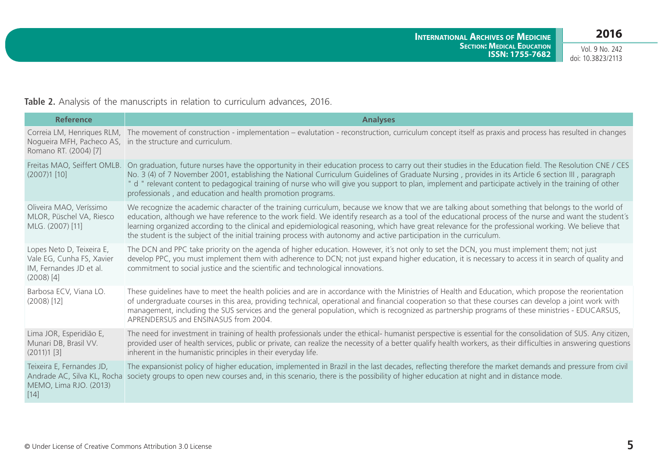Vol. 9 No. 242 doi: 10.3823/2113

**Table 2.** Analysis of the manuscripts in relation to curriculum advances, 2016.

| <b>Reference</b>                                                                                  | <b>Analyses</b>                                                                                                                                                                                                                                                                                                                                                                                                                                                                                                                                                                            |
|---------------------------------------------------------------------------------------------------|--------------------------------------------------------------------------------------------------------------------------------------------------------------------------------------------------------------------------------------------------------------------------------------------------------------------------------------------------------------------------------------------------------------------------------------------------------------------------------------------------------------------------------------------------------------------------------------------|
| Romano RT. (2004) [7]                                                                             | Correia LM, Henriques RLM, The movement of construction - implementation - evalutation - reconstruction, curriculum concept itself as praxis and process has resulted in changes<br>Nogueira MFH, Pacheco AS, in the structure and curriculum.                                                                                                                                                                                                                                                                                                                                             |
| Freitas MAO, Seiffert OMLB.<br>$(2007)1$ [10]                                                     | On graduation, future nurses have the opportunity in their education process to carry out their studies in the Education field. The Resolution CNE / CES<br>No. 3 (4) of 7 November 2001, establishing the National Curriculum Guidelines of Graduate Nursing, provides in its Article 6 section III, paragraph<br>" d " relevant content to pedagogical training of nurse who will give you support to plan, implement and participate actively in the training of other<br>professionals, and education and health promotion programs.                                                   |
| Oliveira MAO, Veríssimo<br>MLOR, Püschel VA, Riesco<br>MLG. (2007) [11]                           | We recognize the academic character of the training curriculum, because we know that we are talking about something that belongs to the world of<br>education, although we have reference to the work field. We identify research as a tool of the educational process of the nurse and want the student's<br>learning organized according to the clinical and epidemiological reasoning, which have great relevance for the professional working. We believe that<br>the student is the subject of the initial training process with autonomy and active participation in the curriculum. |
| Lopes Neto D, Teixeira E,<br>Vale EG, Cunha FS, Xavier<br>IM, Fernandes JD et al.<br>$(2008)$ [4] | The DCN and PPC take priority on the agenda of higher education. However, it's not only to set the DCN, you must implement them; not just<br>develop PPC, you must implement them with adherence to DCN; not just expand higher education, it is necessary to access it in search of quality and<br>commitment to social justice and the scientific and technological innovations.                                                                                                                                                                                                         |
| Barbosa ECV, Viana LO.<br>$(2008)$ [12]                                                           | These guidelines have to meet the health policies and are in accordance with the Ministries of Health and Education, which propose the reorientation<br>of undergraduate courses in this area, providing technical, operational and financial cooperation so that these courses can develop a joint work with<br>management, including the SUS services and the general population, which is recognized as partnership programs of these ministries - EDUCARSUS,<br>APRENDERSUS and ENSINASUS from 2004.                                                                                   |
| Lima JOR, Esperidião E,<br>Munari DB, Brasil VV.<br>$(2011)1$ [3]                                 | The need for investment in training of health professionals under the ethical- humanist perspective is essential for the consolidation of SUS. Any citizen,<br>provided user of health services, public or private, can realize the necessity of a better qualify health workers, as their difficulties in answering questions<br>inherent in the humanistic principles in their everyday life.                                                                                                                                                                                            |
| Teixeira E, Fernandes JD,<br>Andrade AC, Silva KL, Rocha<br>MEMO, Lima RJO. (2013)<br>$[14]$      | The expansionist policy of higher education, implemented in Brazil in the last decades, reflecting therefore the market demands and pressure from civil<br>society groups to open new courses and, in this scenario, there is the possibility of higher education at night and in distance mode.                                                                                                                                                                                                                                                                                           |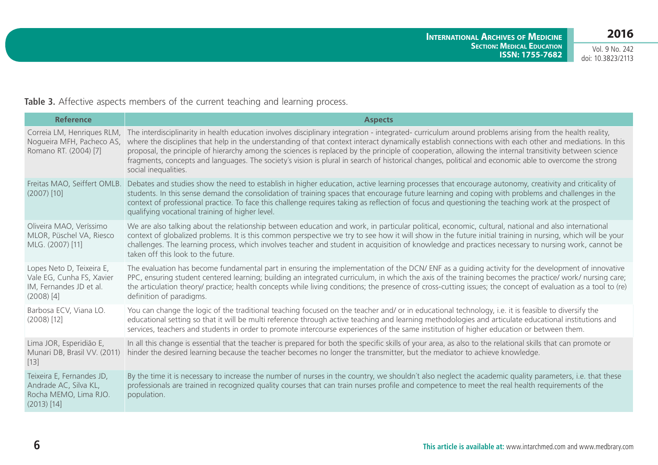Vol. 9 No. 242 doi: 10.3823/2113

**Table 3.** Affective aspects members of the current teaching and learning process.

| <b>Reference</b>                                                                                  | <b>Aspects</b>                                                                                                                                                                                                                                                                                                                                                                                                                                                                                                                                                                                                                                                 |
|---------------------------------------------------------------------------------------------------|----------------------------------------------------------------------------------------------------------------------------------------------------------------------------------------------------------------------------------------------------------------------------------------------------------------------------------------------------------------------------------------------------------------------------------------------------------------------------------------------------------------------------------------------------------------------------------------------------------------------------------------------------------------|
| Correia LM, Henriques RLM,<br>Nogueira MFH, Pacheco AS,<br>Romano RT. (2004) [7]                  | The interdisciplinarity in health education involves disciplinary integration - integrated- curriculum around problems arising from the health reality,<br>where the disciplines that help in the understanding of that context interact dynamically establish connections with each other and mediations. In this<br>proposal, the principle of hierarchy among the sciences is replaced by the principle of cooperation, allowing the internal transitivity between science<br>fragments, concepts and languages. The society's vision is plural in search of historical changes, political and economic able to overcome the strong<br>social inequalities. |
| Freitas MAO, Seiffert OMLB.<br>$(2007)$ [10]                                                      | Debates and studies show the need to establish in higher education, active learning processes that encourage autonomy, creativity and criticality of<br>students. In this sense demand the consolidation of training spaces that encourage future learning and coping with problems and challenges in the<br>context of professional practice. To face this challenge requires taking as reflection of focus and questioning the teaching work at the prospect of<br>qualifying vocational training of higher level.                                                                                                                                           |
| Oliveira MAO, Veríssimo<br>MLOR, Püschel VA, Riesco<br>MLG. (2007) [11]                           | We are also talking about the relationship between education and work, in particular political, economic, cultural, national and also international<br>context of globalized problems. It is this common perspective we try to see how it will show in the future initial training in nursing, which will be your<br>challenges. The learning process, which involves teacher and student in acquisition of knowledge and practices necessary to nursing work, cannot be<br>taken off this look to the future.                                                                                                                                                 |
| Lopes Neto D, Teixeira E,<br>Vale EG, Cunha FS, Xavier<br>IM, Fernandes JD et al.<br>$(2008)$ [4] | The evaluation has become fundamental part in ensuring the implementation of the DCN/ENF as a quiding activity for the development of innovative<br>PPC, ensuring student centered learning; building an integrated curriculum, in which the axis of the training becomes the practice/ work/ nursing care;<br>the articulation theory/ practice; health concepts while living conditions; the presence of cross-cutting issues; the concept of evaluation as a tool to (re)<br>definition of paradigms.                                                                                                                                                       |
| Barbosa ECV, Viana LO.<br>$(2008)$ [12]                                                           | You can change the logic of the traditional teaching focused on the teacher and/ or in educational technology, i.e. it is feasible to diversify the<br>educational setting so that it will be multi reference through active teaching and learning methodologies and articulate educational institutions and<br>services, teachers and students in order to promote intercourse experiences of the same institution of higher education or between them.                                                                                                                                                                                                       |
| Lima JOR, Esperidião E,<br>Munari DB, Brasil VV. (2011)<br>$[13]$                                 | In all this change is essential that the teacher is prepared for both the specific skills of your area, as also to the relational skills that can promote or<br>hinder the desired learning because the teacher becomes no longer the transmitter, but the mediator to achieve knowledge.                                                                                                                                                                                                                                                                                                                                                                      |
| Teixeira E, Fernandes JD,<br>Andrade AC, Silva KL,<br>Rocha MEMO, Lima RJO.<br>$(2013)$ [14]      | By the time it is necessary to increase the number of nurses in the country, we shouldn't also neglect the academic quality parameters, i.e. that these<br>professionals are trained in recognized quality courses that can train nurses profile and competence to meet the real health requirements of the<br>population.                                                                                                                                                                                                                                                                                                                                     |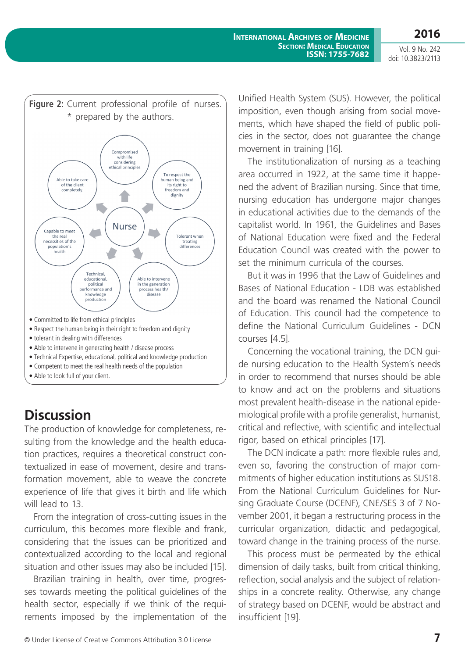Vol. 9 No. 242 doi: 10.3823/2113



- tolerant in dealing with differences
- Able to intervene in generating health / disease process
- Technical Expertise, educational, political and knowledge production
- Competent to meet the real health needs of the population
- Able to look full of your client.

## **Discussion**

The production of knowledge for completeness, resulting from the knowledge and the health education practices, requires a theoretical construct contextualized in ease of movement, desire and transformation movement, able to weave the concrete experience of life that gives it birth and life which will lead to 13.

From the integration of cross-cutting issues in the curriculum, this becomes more flexible and frank, considering that the issues can be prioritized and contextualized according to the local and regional situation and other issues may also be included [15].

Brazilian training in health, over time, progresses towards meeting the political guidelines of the health sector, especially if we think of the requirements imposed by the implementation of the Unified Health System (SUS). However, the political imposition, even though arising from social movements, which have shaped the field of public policies in the sector, does not guarantee the change movement in training [16].

The institutionalization of nursing as a teaching area occurred in 1922, at the same time it happened the advent of Brazilian nursing. Since that time, nursing education has undergone major changes in educational activities due to the demands of the capitalist world. In 1961, the Guidelines and Bases of National Education were fixed and the Federal Education Council was created with the power to set the minimum curricula of the courses.

But it was in 1996 that the Law of Guidelines and Bases of National Education - LDB was established and the board was renamed the National Council of Education. This council had the competence to define the National Curriculum Guidelines - DCN courses [4.5].

Concerning the vocational training, the DCN guide nursing education to the Health System´s needs in order to recommend that nurses should be able to know and act on the problems and situations most prevalent health-disease in the national epidemiological profile with a profile generalist, humanist, critical and reflective, with scientific and intellectual rigor, based on ethical principles [17].

The DCN indicate a path: more flexible rules and, even so, favoring the construction of major commitments of higher education institutions as SUS18. From the National Curriculum Guidelines for Nursing Graduate Course (DCENF), CNE/SES 3 of 7 November 2001, it began a restructuring process in the curricular organization, didactic and pedagogical, toward change in the training process of the nurse.

This process must be permeated by the ethical dimension of daily tasks, built from critical thinking, reflection, social analysis and the subject of relationships in a concrete reality. Otherwise, any change of strategy based on DCENF, would be abstract and insufficient [19].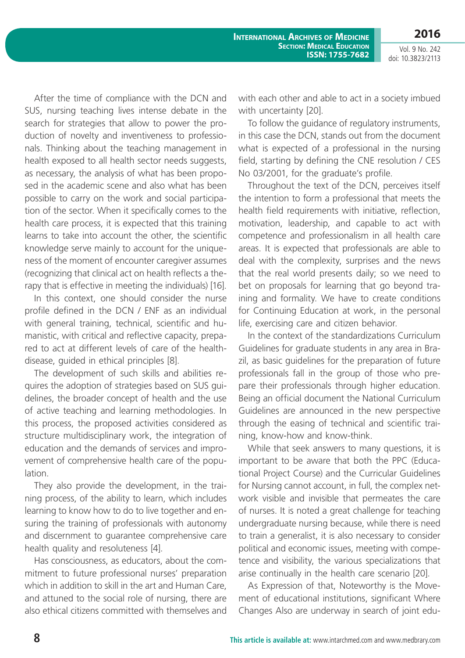Vol. 9 No. 242 doi: 10.3823/2113

After the time of compliance with the DCN and SUS, nursing teaching lives intense debate in the search for strategies that allow to power the production of novelty and inventiveness to professionals. Thinking about the teaching management in health exposed to all health sector needs suggests, as necessary, the analysis of what has been proposed in the academic scene and also what has been possible to carry on the work and social participation of the sector. When it specifically comes to the health care process, it is expected that this training learns to take into account the other, the scientific knowledge serve mainly to account for the uniqueness of the moment of encounter caregiver assumes (recognizing that clinical act on health reflects a therapy that is effective in meeting the individuals) [16].

In this context, one should consider the nurse profile defined in the DCN / ENF as an individual with general training, technical, scientific and humanistic, with critical and reflective capacity, prepared to act at different levels of care of the healthdisease, guided in ethical principles [8].

The development of such skills and abilities requires the adoption of strategies based on SUS guidelines, the broader concept of health and the use of active teaching and learning methodologies. In this process, the proposed activities considered as structure multidisciplinary work, the integration of education and the demands of services and improvement of comprehensive health care of the population.

They also provide the development, in the training process, of the ability to learn, which includes learning to know how to do to live together and ensuring the training of professionals with autonomy and discernment to guarantee comprehensive care health quality and resoluteness [4].

Has consciousness, as educators, about the commitment to future professional nurses' preparation which in addition to skill in the art and Human Care, and attuned to the social role of nursing, there are also ethical citizens committed with themselves and with each other and able to act in a society imbued with uncertainty [20].

To follow the guidance of regulatory instruments, in this case the DCN, stands out from the document what is expected of a professional in the nursing field, starting by defining the CNE resolution / CES No 03/2001, for the graduate's profile.

Throughout the text of the DCN, perceives itself the intention to form a professional that meets the health field requirements with initiative, reflection, motivation, leadership, and capable to act with competence and professionalism in all health care areas. It is expected that professionals are able to deal with the complexity, surprises and the news that the real world presents daily; so we need to bet on proposals for learning that go beyond training and formality. We have to create conditions for Continuing Education at work, in the personal life, exercising care and citizen behavior.

In the context of the standardizations Curriculum Guidelines for graduate students in any area in Brazil, as basic guidelines for the preparation of future professionals fall in the group of those who prepare their professionals through higher education. Being an official document the National Curriculum Guidelines are announced in the new perspective through the easing of technical and scientific training, know-how and know-think.

While that seek answers to many questions, it is important to be aware that both the PPC (Educational Project Course) and the Curricular Guidelines for Nursing cannot account, in full, the complex network visible and invisible that permeates the care of nurses. It is noted a great challenge for teaching undergraduate nursing because, while there is need to train a generalist, it is also necessary to consider political and economic issues, meeting with competence and visibility, the various specializations that arise continually in the health care scenario [20].

As Expression of that, Noteworthy is the Movement of educational institutions, significant Where Changes Also are underway in search of joint edu-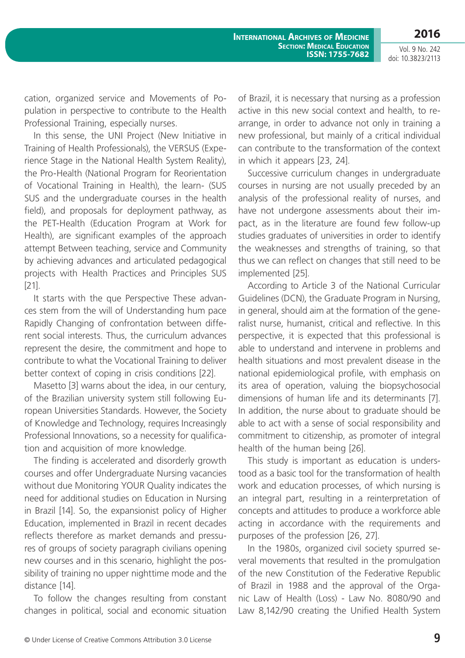Vol. 9 No. 242 doi: 10.3823/2113

cation, organized service and Movements of Population in perspective to contribute to the Health Professional Training, especially nurses.

In this sense, the UNI Project (New Initiative in Training of Health Professionals), the VERSUS (Experience Stage in the National Health System Reality), the Pro-Health (National Program for Reorientation of Vocational Training in Health), the learn- (SUS SUS and the undergraduate courses in the health field), and proposals for deployment pathway, as the PET-Health (Education Program at Work for Health), are significant examples of the approach attempt Between teaching, service and Community by achieving advances and articulated pedagogical projects with Health Practices and Principles SUS [21].

It starts with the que Perspective These advances stem from the will of Understanding hum pace Rapidly Changing of confrontation between different social interests. Thus, the curriculum advances represent the desire, the commitment and hope to contribute to what the Vocational Training to deliver better context of coping in crisis conditions [22].

Masetto [3] warns about the idea, in our century, of the Brazilian university system still following European Universities Standards. However, the Society of Knowledge and Technology, requires Increasingly Professional Innovations, so a necessity for qualification and acquisition of more knowledge.

The finding is accelerated and disorderly growth courses and offer Undergraduate Nursing vacancies without due Monitoring YOUR Quality indicates the need for additional studies on Education in Nursing in Brazil [14]. So, the expansionist policy of Higher Education, implemented in Brazil in recent decades reflects therefore as market demands and pressures of groups of society paragraph civilians opening new courses and in this scenario, highlight the possibility of training no upper nighttime mode and the distance [14].

To follow the changes resulting from constant changes in political, social and economic situation of Brazil, it is necessary that nursing as a profession active in this new social context and health, to rearrange, in order to advance not only in training a new professional, but mainly of a critical individual can contribute to the transformation of the context in which it appears [23, 24].

Successive curriculum changes in undergraduate courses in nursing are not usually preceded by an analysis of the professional reality of nurses, and have not undergone assessments about their impact, as in the literature are found few follow-up studies graduates of universities in order to identify the weaknesses and strengths of training, so that thus we can reflect on changes that still need to be implemented [25].

According to Article 3 of the National Curricular Guidelines (DCN), the Graduate Program in Nursing, in general, should aim at the formation of the generalist nurse, humanist, critical and reflective. In this perspective, it is expected that this professional is able to understand and intervene in problems and health situations and most prevalent disease in the national epidemiological profile, with emphasis on its area of operation, valuing the biopsychosocial dimensions of human life and its determinants [7]. In addition, the nurse about to graduate should be able to act with a sense of social responsibility and commitment to citizenship, as promoter of integral health of the human being [26].

This study is important as education is understood as a basic tool for the transformation of health work and education processes, of which nursing is an integral part, resulting in a reinterpretation of concepts and attitudes to produce a workforce able acting in accordance with the requirements and purposes of the profession [26, 27].

In the 1980s, organized civil society spurred several movements that resulted in the promulgation of the new Constitution of the Federative Republic of Brazil in 1988 and the approval of the Organic Law of Health (Loss) - Law No. 8080/90 and Law 8,142/90 creating the Unified Health System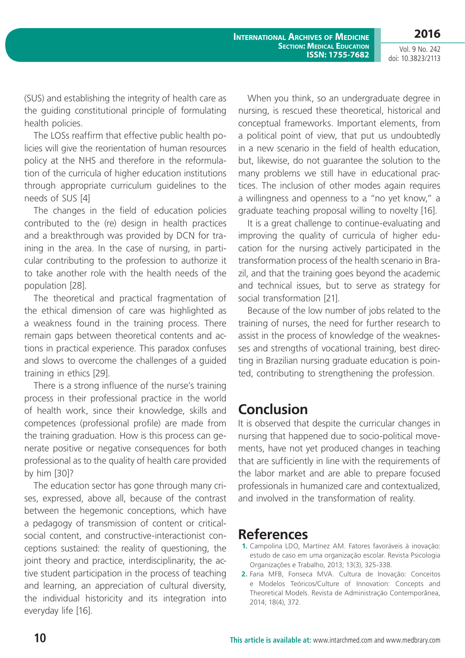Vol. 9 No. 242 doi: 10.3823/2113

(SUS) and establishing the integrity of health care as the guiding constitutional principle of formulating health policies.

The LOSs reaffirm that effective public health policies will give the reorientation of human resources policy at the NHS and therefore in the reformulation of the curricula of higher education institutions through appropriate curriculum guidelines to the needs of SUS [4]

The changes in the field of education policies contributed to the (re) design in health practices and a breakthrough was provided by DCN for training in the area. In the case of nursing, in particular contributing to the profession to authorize it to take another role with the health needs of the population [28].

The theoretical and practical fragmentation of the ethical dimension of care was highlighted as a weakness found in the training process. There remain gaps between theoretical contents and actions in practical experience. This paradox confuses and slows to overcome the challenges of a guided training in ethics [29].

There is a strong influence of the nurse's training process in their professional practice in the world of health work, since their knowledge, skills and competences (professional profile) are made from the training graduation. How is this process can generate positive or negative consequences for both professional as to the quality of health care provided by him [30]?

The education sector has gone through many crises, expressed, above all, because of the contrast between the hegemonic conceptions, which have a pedagogy of transmission of content or criticalsocial content, and constructive-interactionist conceptions sustained: the reality of questioning, the joint theory and practice, interdisciplinarity, the active student participation in the process of teaching and learning, an appreciation of cultural diversity, the individual historicity and its integration into everyday life [16].

When you think, so an undergraduate degree in nursing, is rescued these theoretical, historical and conceptual frameworks. Important elements, from a political point of view, that put us undoubtedly in a new scenario in the field of health education, but, likewise, do not guarantee the solution to the many problems we still have in educational practices. The inclusion of other modes again requires a willingness and openness to a "no yet know," a graduate teaching proposal willing to novelty [16].

It is a great challenge to continue-evaluating and improving the quality of curricula of higher education for the nursing actively participated in the transformation process of the health scenario in Brazil, and that the training goes beyond the academic and technical issues, but to serve as strategy for social transformation [21].

Because of the low number of jobs related to the training of nurses, the need for further research to assist in the process of knowledge of the weaknesses and strengths of vocational training, best directing in Brazilian nursing graduate education is pointed, contributing to strengthening the profession.

## **Conclusion**

It is observed that despite the curricular changes in nursing that happened due to socio-political movements, have not yet produced changes in teaching that are sufficiently in line with the requirements of the labor market and are able to prepare focused professionals in humanized care and contextualized, and involved in the transformation of reality.

### **References**

- **1.** Campolina LDO, Martínez AM. Fatores favoráveis à inovação: estudo de caso em uma organização escolar. Revista Psicologia Organizações e Trabalho, 2013; 13(3), 325-338.
- **2.** Faria MFB, Fonseca MVA. Cultura de Inovação: Conceitos e Modelos Teóricos/Culture of Innovation: Concepts and Theoretical Models. Revista de Administração Contemporânea, 2014; 18(4), 372.